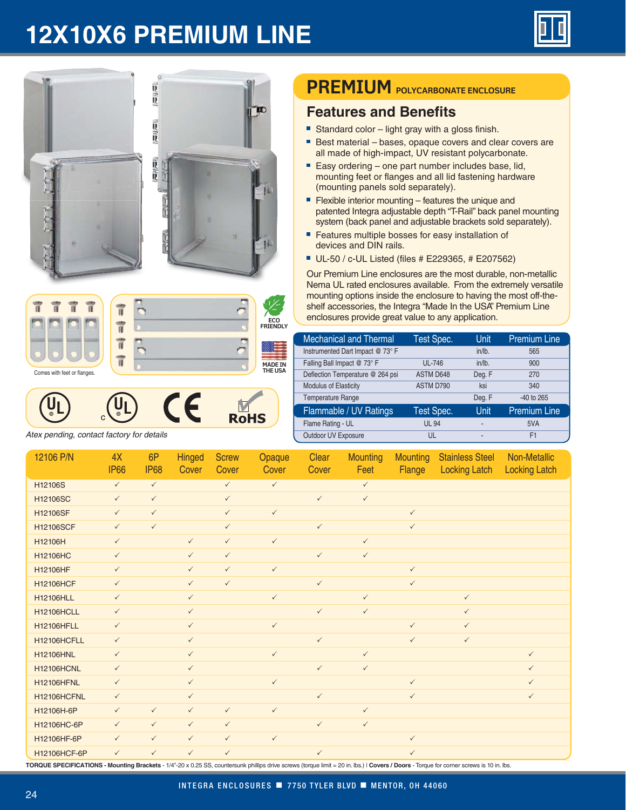## **12X10X6 PREMIUM LINE**





*Atex pending, contact factory for details*

## **PREMIUM POLYCARBONATE ENCLOSURE**

## **Features and Benefits**

- Standard color light gray with a gloss finish.
- Best material bases, opaque covers and clear covers are all made of high-impact, UV resistant polycarbonate.
- Easy ordering one part number includes base, lid, mounting feet or flanges and all lid fastening hardware (mounting panels sold separately).
- **Flexible interior mounting features the unique and** patented Integra adjustable depth "T-Rail" back panel mounting system (back panel and adjustable brackets sold separately).
- Features multiple bosses for easy installation of devices and DIN rails.
- UL-50 / c-UL Listed (files # E229365, # E207562)

Our Premium Line enclosures are the most durable, non-metallic Nema UL rated enclosures available. From the extremely versatile mounting options inside the enclosure to having the most off-theshelf accessories, the Integra "Made In the USA" Premium Line enclosures provide great value to any application.

| <b>Mechanical and Thermal</b>    | Test Spec.   | Unit           | <b>Premium Line</b> |  |
|----------------------------------|--------------|----------------|---------------------|--|
| Instrumented Dart Impact @ 73° F |              | $in/lb$ .      | 565                 |  |
| Falling Ball Impact @ 73° F      | UL-746       | $in/lb$ .      | 900                 |  |
| Deflection Temperature @ 264 psi | ASTM D648    | Deg. F         | 270                 |  |
| Modulus of Elasticity            | ASTM D790    | ksi            | 340                 |  |
| <b>Temperature Range</b>         |              | Deg. F         | $-40$ to 265        |  |
| Flammable / UV Ratings           | Test Spec.   | Unit           | <b>Premium Line</b> |  |
| Flame Rating - UL                | <b>UL 94</b> | ٠              | 5VA                 |  |
| Outdoor UV Exposure              | UL           | $\overline{a}$ | F <sub>1</sub>      |  |

| 12106 P/N         | 4X<br><b>IP66</b> | 6P<br><b>IP68</b> | <b>Hinged</b><br>Cover | <b>Screw</b><br>Cover | Opaque<br>Cover | Clear<br>Cover | <b>Mounting</b><br>Feet | <b>Mounting</b><br>Flange | <b>Stainless Steel</b><br><b>Locking Latch</b> | Non-Metallic<br><b>Locking Latch</b> |
|-------------------|-------------------|-------------------|------------------------|-----------------------|-----------------|----------------|-------------------------|---------------------------|------------------------------------------------|--------------------------------------|
| H12106S           | $\checkmark$      | $\checkmark$      |                        | $\checkmark$          | $\checkmark$    |                | $\checkmark$            |                           |                                                |                                      |
| H12106SC          | $\checkmark$      | $\checkmark$      |                        | $\checkmark$          |                 | $\checkmark$   | $\checkmark$            |                           |                                                |                                      |
| H12106SF          | $\checkmark$      | $\checkmark$      |                        | $\checkmark$          | $\checkmark$    |                |                         | $\checkmark$              |                                                |                                      |
| H12106SCF         | $\checkmark$      | $\checkmark$      |                        | $\checkmark$          |                 | $\checkmark$   |                         | $\checkmark$              |                                                |                                      |
| H12106H           | $\checkmark$      |                   | $\checkmark$           | $\checkmark$          | $\checkmark$    |                | $\checkmark$            |                           |                                                |                                      |
| H12106HC          | $\checkmark$      |                   | $\checkmark$           | $\checkmark$          |                 | $\checkmark$   | $\checkmark$            |                           |                                                |                                      |
| H12106HF          | $\checkmark$      |                   | $\checkmark$           | $\checkmark$          | $\checkmark$    |                |                         | $\checkmark$              |                                                |                                      |
| H12106HCF         | $\checkmark$      |                   | $\checkmark$           | $\checkmark$          |                 | $\checkmark$   |                         | $\checkmark$              |                                                |                                      |
| H12106HLL         | $\checkmark$      |                   | $\checkmark$           |                       | $\checkmark$    |                | $\checkmark$            |                           | $\checkmark$                                   |                                      |
| <b>H12106HCLL</b> | $\checkmark$      |                   | $\checkmark$           |                       |                 | $\checkmark$   | $\checkmark$            |                           | $\checkmark$                                   |                                      |
| <b>H12106HFLL</b> | $\checkmark$      |                   | $\checkmark$           |                       | $\checkmark$    |                |                         | $\checkmark$              | $\checkmark$                                   |                                      |
| H12106HCFLL       | $\checkmark$      |                   | $\checkmark$           |                       |                 | $\checkmark$   |                         | $\checkmark$              | $\checkmark$                                   |                                      |
| H12106HNL         | $\checkmark$      |                   | $\checkmark$           |                       | $\checkmark$    |                | $\checkmark$            |                           |                                                | $\checkmark$                         |
| <b>H12106HCNL</b> | $\checkmark$      |                   | $\checkmark$           |                       |                 | $\checkmark$   | $\checkmark$            |                           |                                                | $\checkmark$                         |
| <b>H12106HFNL</b> | $\checkmark$      |                   | $\checkmark$           |                       | $\checkmark$    |                |                         | $\checkmark$              |                                                | $\checkmark$                         |
| H12106HCFNL       | $\checkmark$      |                   | $\checkmark$           |                       |                 | $\checkmark$   |                         | $\checkmark$              |                                                | $\checkmark$                         |
| H12106H-6P        | $\checkmark$      | $\checkmark$      | $\checkmark$           | $\checkmark$          | $\checkmark$    |                | $\checkmark$            |                           |                                                |                                      |
| H12106HC-6P       | $\checkmark$      | $\checkmark$      | $\checkmark$           | $\checkmark$          |                 | $\checkmark$   | $\checkmark$            |                           |                                                |                                      |
| H12106HF-6P       | $\checkmark$      | $\checkmark$      | $\checkmark$           | $\checkmark$          | $\checkmark$    |                |                         | $\checkmark$              |                                                |                                      |
| H12106HCF-6P      | $\checkmark$      | $\checkmark$      | $\checkmark$           | $\checkmark$          |                 | $\checkmark$   |                         | $\checkmark$              |                                                |                                      |

**TORQUE SPECIFICATIONS - Mounting Brackets** - 1/4"-20 x 0.25 SS, countersunk phillips drive screws (torque limit = 20 in. lbs.) | **Covers / Doors** - Torque for corner screws is 10 in. lbs.